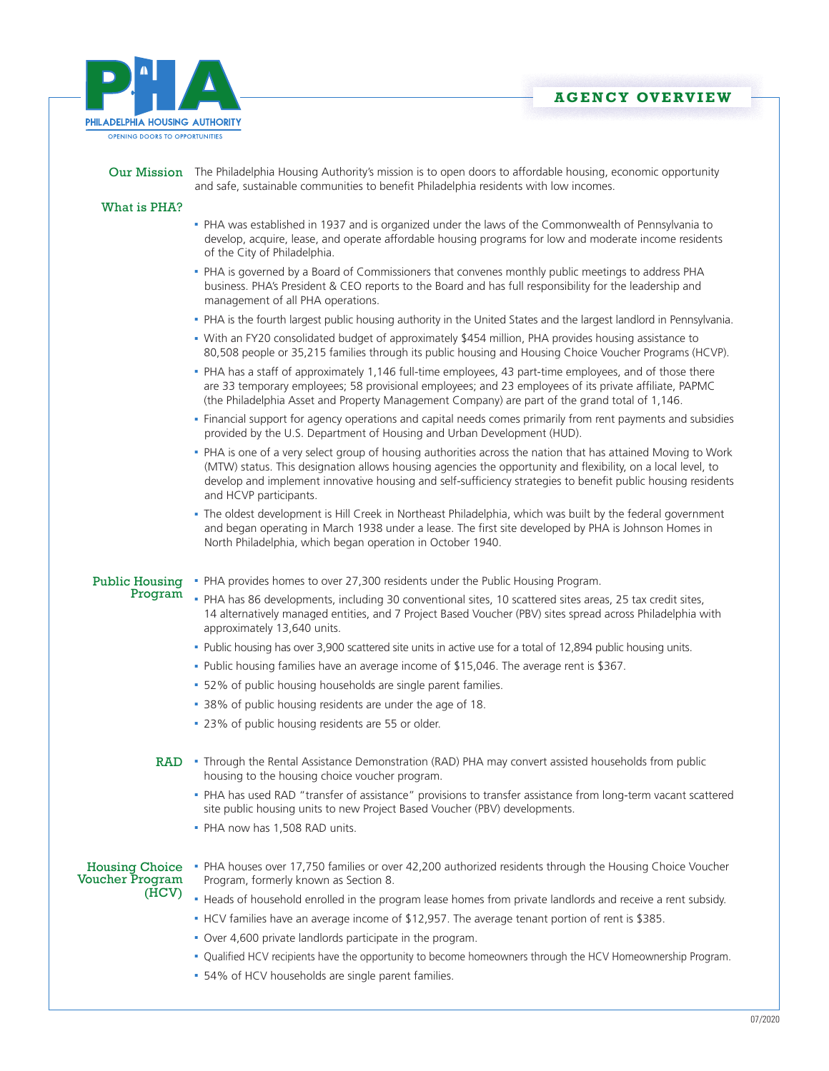



|                                                   | Our Mission The Philadelphia Housing Authority's mission is to open doors to affordable housing, economic opportunity<br>and safe, sustainable communities to benefit Philadelphia residents with low incomes.                                                                                                                                                          |
|---------------------------------------------------|-------------------------------------------------------------------------------------------------------------------------------------------------------------------------------------------------------------------------------------------------------------------------------------------------------------------------------------------------------------------------|
| What is PHA?                                      |                                                                                                                                                                                                                                                                                                                                                                         |
|                                                   | - PHA was established in 1937 and is organized under the laws of the Commonwealth of Pennsylvania to<br>develop, acquire, lease, and operate affordable housing programs for low and moderate income residents<br>of the City of Philadelphia.                                                                                                                          |
|                                                   | - PHA is governed by a Board of Commissioners that convenes monthly public meetings to address PHA<br>business. PHA's President & CEO reports to the Board and has full responsibility for the leadership and<br>management of all PHA operations.                                                                                                                      |
|                                                   | - PHA is the fourth largest public housing authority in the United States and the largest landlord in Pennsylvania.                                                                                                                                                                                                                                                     |
|                                                   | • With an FY20 consolidated budget of approximately \$454 million, PHA provides housing assistance to<br>80,508 people or 35,215 families through its public housing and Housing Choice Voucher Programs (HCVP).                                                                                                                                                        |
|                                                   | - PHA has a staff of approximately 1,146 full-time employees, 43 part-time employees, and of those there<br>are 33 temporary employees; 58 provisional employees; and 23 employees of its private affiliate, PAPMC<br>(the Philadelphia Asset and Property Management Company) are part of the grand total of 1,146.                                                    |
|                                                   | - Financial support for agency operations and capital needs comes primarily from rent payments and subsidies<br>provided by the U.S. Department of Housing and Urban Development (HUD).                                                                                                                                                                                 |
|                                                   | - PHA is one of a very select group of housing authorities across the nation that has attained Moving to Work<br>(MTW) status. This designation allows housing agencies the opportunity and flexibility, on a local level, to<br>develop and implement innovative housing and self-sufficiency strategies to benefit public housing residents<br>and HCVP participants. |
|                                                   | - The oldest development is Hill Creek in Northeast Philadelphia, which was built by the federal government<br>and began operating in March 1938 under a lease. The first site developed by PHA is Johnson Homes in<br>North Philadelphia, which began operation in October 1940.                                                                                       |
| <b>Public Housing</b><br>Program                  | . PHA provides homes to over 27,300 residents under the Public Housing Program.                                                                                                                                                                                                                                                                                         |
|                                                   | - PHA has 86 developments, including 30 conventional sites, 10 scattered sites areas, 25 tax credit sites,<br>14 alternatively managed entities, and 7 Project Based Voucher (PBV) sites spread across Philadelphia with<br>approximately 13,640 units.                                                                                                                 |
|                                                   | - Public housing has over 3,900 scattered site units in active use for a total of 12,894 public housing units.                                                                                                                                                                                                                                                          |
|                                                   | - Public housing families have an average income of \$15,046. The average rent is \$367.                                                                                                                                                                                                                                                                                |
|                                                   | • 52% of public housing households are single parent families.                                                                                                                                                                                                                                                                                                          |
|                                                   | • 38% of public housing residents are under the age of 18.                                                                                                                                                                                                                                                                                                              |
|                                                   | - 23% of public housing residents are 55 or older.                                                                                                                                                                                                                                                                                                                      |
|                                                   | RAD • Through the Rental Assistance Demonstration (RAD) PHA may convert assisted households from public<br>housing to the housing choice voucher program.                                                                                                                                                                                                               |
|                                                   | . PHA has used RAD "transfer of assistance" provisions to transfer assistance from long-term vacant scattered<br>site public housing units to new Project Based Voucher (PBV) developments.<br>• PHA now has 1,508 RAD units.                                                                                                                                           |
|                                                   |                                                                                                                                                                                                                                                                                                                                                                         |
| <b>Housing Choice</b><br>Voucher Program<br>(HCV) | - PHA houses over 17,750 families or over 42,200 authorized residents through the Housing Choice Voucher<br>Program, formerly known as Section 8.                                                                                                                                                                                                                       |
|                                                   | - Heads of household enrolled in the program lease homes from private landlords and receive a rent subsidy.                                                                                                                                                                                                                                                             |
|                                                   | . HCV families have an average income of \$12,957. The average tenant portion of rent is \$385.                                                                                                                                                                                                                                                                         |
|                                                   | . Over 4,600 private landlords participate in the program.                                                                                                                                                                                                                                                                                                              |
|                                                   | - Qualified HCV recipients have the opportunity to become homeowners through the HCV Homeownership Program.                                                                                                                                                                                                                                                             |